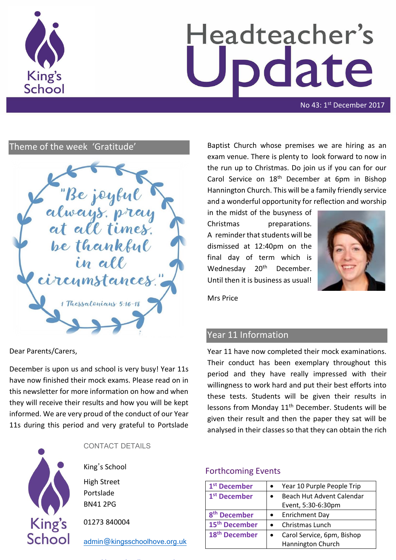

# Headteacher's date

No 43: 1<sup>st</sup> December 2017

# Theme of the week 'Gratitude'

"Be joybul be thankful in all ircymstances 1 Thessalenians 5:16-18

Dear Parents/Carers,

December is upon us and school is very busy! Year 11s have now finished their mock exams. Please read on in this newsletter for more information on how and when they will receive their results and how you will be kept informed. We are very proud of the conduct of our Year 11s during this period and very grateful to Portslade



CONTACT DETAILS

King's School High Street

Portslade BN41 2PG

01273 840004

[admin@kingsschoolhove.org.uk](mailto:admin@kingsschoolhove.org.uk)

Baptist Church whose premises we are hiring as an exam venue. There is plenty to look forward to now in the run up to Christmas. Do join us if you can for our Carol Service on 18th December at 6pm in Bishop Hannington Church. This will be a family friendly service and a wonderful opportunity for reflection and worship

in the midst of the busyness of Christmas preparations. A reminder that students will be dismissed at 12:40pm on the final day of term which is Wednesday 20<sup>th</sup> December. Until then it is business as usual!



Mrs Price

# Year 11 Information

Year 11 have now completed their mock examinations. Their conduct has been exemplary throughout this period and they have really impressed with their willingness to work hard and put their best efforts into these tests. Students will be given their results in lessons from Monday 11<sup>th</sup> December. Students will be given their result and then the paper they sat will be analysed in their classes so that they can obtain the rich

## Forthcoming Events

| 1 <sup>st</sup> December  | Year 10 Purple People Trip |
|---------------------------|----------------------------|
| 1 <sup>st</sup> December  | Beach Hut Advent Calendar  |
|                           | Event, 5:30-6:30pm         |
| 8 <sup>th</sup> December  | <b>Enrichment Day</b>      |
| 15 <sup>th</sup> December | Christmas Lunch            |
| 18 <sup>th</sup> December | Carol Service, 6pm, Bishop |
|                           | Hannington Church          |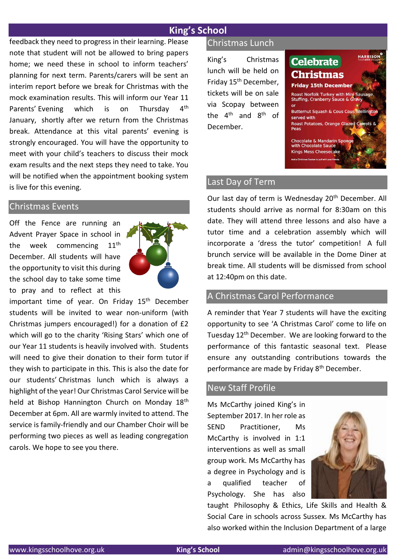## **King's School**

feedback they need to progress in their learning. Please note that student will not be allowed to bring papers home; we need these in school to inform teachers' planning for next term. Parents/carers will be sent an interim report before we break for Christmas with the mock examination results. This will inform our Year 11 Parents' Evening which is on Thursday 4<sup>th</sup> January, shortly after we return from the Christmas break. Attendance at this vital parents' evening is strongly encouraged. You will have the opportunity to meet with your child's teachers to discuss their mock exam results and the next steps they need to take. You will be notified when the appointment booking system is live for this evening.

#### Christmas Events

Off the Fence are running an Advent Prayer Space in school in the week commencing 11<sup>th</sup> December. All students will have the opportunity to visit this during the school day to take some time to pray and to reflect at this



important time of year. On Friday 15<sup>th</sup> December students will be invited to wear non-uniform (with Christmas jumpers encouraged!) for a donation of £2 which will go to the charity 'Rising Stars' which one of our Year 11 students is heavily involved with. Students will need to give their donation to their form tutor if they wish to participate in this. This is also the date for our students' Christmas lunch which is always a highlight of the year! Our Christmas Carol Service will be held at Bishop Hannington Church on Monday 18th December at 6pm. All are warmly invited to attend. The service is family-friendly and our Chamber Choir will be performing two pieces as well as leading congregation carols. We hope to see you there.

## Christmas Lunch

King's Christmas lunch will be held on Friday 15th December, tickets will be on sale via Scopay between the  $4<sup>th</sup>$  and  $8<sup>th</sup>$  of December.



### Last Day of Term

Our last day of term is Wednesday 20<sup>th</sup> December. All students should arrive as normal for 8:30am on this date. They will attend three lessons and also have a tutor time and a celebration assembly which will incorporate a 'dress the tutor' competition! A full brunch service will be available in the Dome Diner at break time. All students will be dismissed from school at 12:40pm on this date.

## A Christmas Carol Performance

A reminder that Year 7 students will have the exciting opportunity to see 'A Christmas Carol' come to life on Tuesday 12th December. We are looking forward to the performance of this fantastic seasonal text. Please ensure any outstanding contributions towards the performance are made by Friday 8<sup>th</sup> December.

#### New Staff Profile

Ms McCarthy joined King's in September 2017. In her role as SEND Practitioner, Ms McCarthy is involved in 1:1 interventions as well as small group work. Ms McCarthy has a degree in Psychology and is a qualified teacher of Psychology. She has also



taught Philosophy & Ethics, Life Skills and Health & Social Care in schools across Sussex. Ms McCarthy has also worked within the Inclusion Department of a large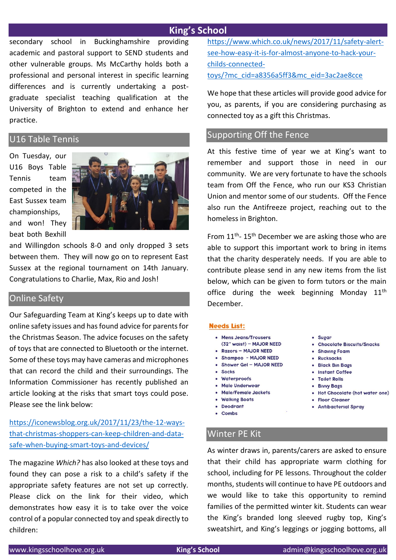## **King's School**

secondary school in Buckinghamshire providing academic and pastoral support to SEND students and other vulnerable groups. Ms McCarthy holds both a professional and personal interest in specific learning differences and is currently undertaking a postgraduate specialist teaching qualification at the University of Brighton to extend and enhance her practice.

#### U16 Table Tennis

On Tuesday, our U16 Boys Table Tennis team competed in the East Sussex team championships, and won! They beat both Bexhill



and Willingdon schools 8-0 and only dropped 3 sets between them. They will now go on to represent East Sussex at the regional tournament on 14th January. Congratulations to Charlie, Max, Rio and Josh!

#### Online Safety

Our Safeguarding Team at King's keeps up to date with online safety issues and has found advice for parents for the Christmas Season. The advice focuses on the safety of toys that are connected to Bluetooth or the internet. Some of these toys may have cameras and microphones that can record the child and their surroundings. The Information Commissioner has recently published an article looking at the risks that smart toys could pose. Please see the link below:

# [https://iconewsblog.org.uk/2017/11/23/the-12-ways](https://safeguardinginschools.us12.list-manage.com/track/click?u=efe032677d94ceba51dd39a7f&id=b426b826f9&e=18de02de76)[that-christmas-shoppers-can-keep-children-and-data](https://safeguardinginschools.us12.list-manage.com/track/click?u=efe032677d94ceba51dd39a7f&id=b426b826f9&e=18de02de76)[safe-when-buying-smart-toys-and-devices/](https://safeguardinginschools.us12.list-manage.com/track/click?u=efe032677d94ceba51dd39a7f&id=b426b826f9&e=18de02de76)

The magazine *Which?* has also looked at these toys and found they can pose a risk to a child's safety if the appropriate safety features are not set up correctly. Please click on the link for their video, which demonstrates how easy it is to take over the voice control of a popular connected toy and speak directly to children:

[https://www.which.co.uk/news/2017/11/safety-alert](https://www.which.co.uk/news/2017/11/safety-alert-see-how-easy-it-is-for-almost-anyone-to-hack-your-childs-connected-toys/?mc_cid=a8356a5ff3&mc_eid=3ac2ae8cce)[see-how-easy-it-is-for-almost-anyone-to-hack-your](https://www.which.co.uk/news/2017/11/safety-alert-see-how-easy-it-is-for-almost-anyone-to-hack-your-childs-connected-toys/?mc_cid=a8356a5ff3&mc_eid=3ac2ae8cce)[childs-connected](https://www.which.co.uk/news/2017/11/safety-alert-see-how-easy-it-is-for-almost-anyone-to-hack-your-childs-connected-toys/?mc_cid=a8356a5ff3&mc_eid=3ac2ae8cce)[toys/?mc\\_cid=a8356a5ff3&mc\\_eid=3ac2ae8cce](https://www.which.co.uk/news/2017/11/safety-alert-see-how-easy-it-is-for-almost-anyone-to-hack-your-childs-connected-toys/?mc_cid=a8356a5ff3&mc_eid=3ac2ae8cce)

We hope that these articles will provide good advice for you, as parents, if you are considering purchasing as connected toy as a gift this Christmas.

## Supporting Off the Fence

At this festive time of year we at King's want to remember and support those in need in our community. We are very fortunate to have the schools team from Off the Fence, who run our KS3 Christian Union and mentor some of our students. Off the Fence also run the Antifreeze project, reaching out to the homeless in Brighton.

From 11<sup>th</sup>-15<sup>th</sup> December we are asking those who are able to support this important work to bring in items that the charity desperately needs. If you are able to contribute please send in any new items from the list below, which can be given to form tutors or the main office during the week beginning Monday  $11<sup>th</sup>$ December.

#### **Needs List:**

- Mens Jeans/Trousers (32" waist) - MAJOR NEED
- Razors MAJOR NEED
- Shampoo MAJOR NEED
- Shower Gel MAJOR NEED
- $\bullet$  Socks
- Waterproofs
- . Male Underwear
- · Male/Female Jackets
- Walking Boots
- · Deodrant
- $\bullet$  Combs
- · Sugar
- Chocolate Biscuits/Snacks
- Shaving Foam
- Rucksacks
- · Black Bin Bags
- · Instant Coffee
- Toilet Rolls
- Bivvy Bags
- . Hot Chocolate (hot water one)
- Floor Cleaner
- Antibacterial Spray

# Winter PE Kit

As winter draws in, parents/carers are asked to ensure that their child has appropriate warm clothing for school, including for PE lessons. Throughout the colder months, students will continue to have PE outdoors and we would like to take this opportunity to remind families of the permitted winter kit. Students can wear the King's branded long sleeved rugby top, King's sweatshirt, and King's leggings or jogging bottoms, all